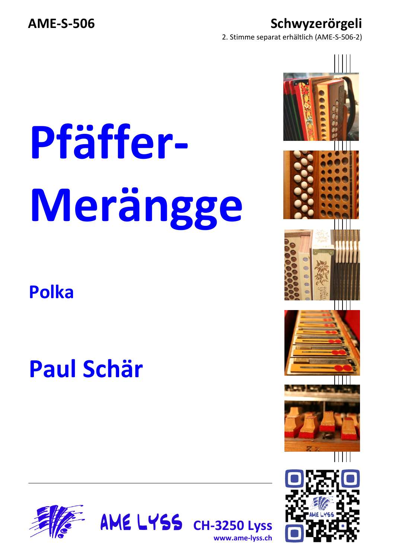**AME-S-506 Schwyzerörgeli**

2. Stimme separat erhältlich (AME-S-506-2)

## **Pfäffer-Merängge**

**Polka**

## **Paul Schär**





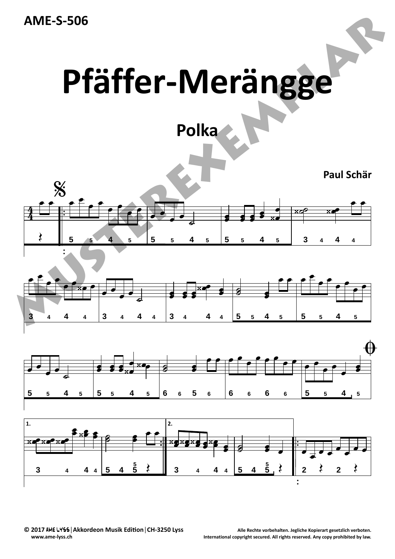**AME‐S‐506**